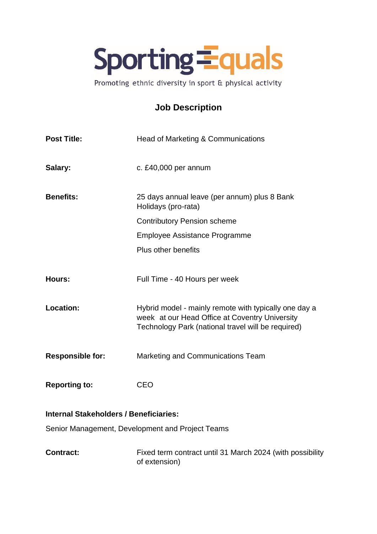

Promoting ethnic diversity in sport & physical activity

# **Job Description**

| <b>Post Title:</b>                               | Head of Marketing & Communications                                                                                                                            |  |
|--------------------------------------------------|---------------------------------------------------------------------------------------------------------------------------------------------------------------|--|
| Salary:                                          | c. £40,000 per annum                                                                                                                                          |  |
| <b>Benefits:</b>                                 | 25 days annual leave (per annum) plus 8 Bank<br>Holidays (pro-rata)                                                                                           |  |
|                                                  | <b>Contributory Pension scheme</b>                                                                                                                            |  |
|                                                  | Employee Assistance Programme                                                                                                                                 |  |
|                                                  | Plus other benefits                                                                                                                                           |  |
| Hours:                                           | Full Time - 40 Hours per week                                                                                                                                 |  |
| <b>Location:</b>                                 | Hybrid model - mainly remote with typically one day a<br>week at our Head Office at Coventry University<br>Technology Park (national travel will be required) |  |
| <b>Responsible for:</b>                          | Marketing and Communications Team                                                                                                                             |  |
| <b>Reporting to:</b>                             | <b>CEO</b>                                                                                                                                                    |  |
| <b>Internal Stakeholders / Beneficiaries:</b>    |                                                                                                                                                               |  |
| Senior Management, Development and Project Teams |                                                                                                                                                               |  |
| <b>Contract:</b>                                 | Fixed term contract until 31 March 2024 (with possibility                                                                                                     |  |

of extension)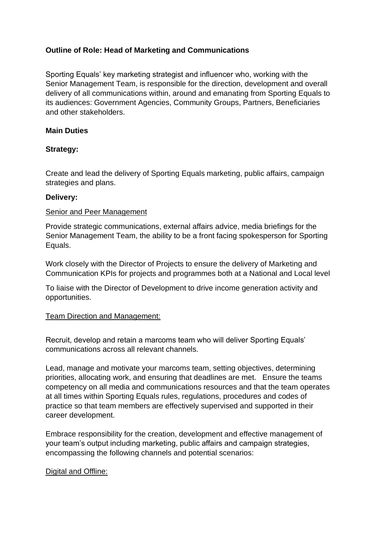## **Outline of Role: Head of Marketing and Communications**

Sporting Equals' key marketing strategist and influencer who, working with the Senior Management Team, is responsible for the direction, development and overall delivery of all communications within, around and emanating from Sporting Equals to its audiences: Government Agencies, Community Groups, Partners, Beneficiaries and other stakeholders.

## **Main Duties**

## **Strategy:**

Create and lead the delivery of Sporting Equals marketing, public affairs, campaign strategies and plans.

#### **Delivery:**

#### Senior and Peer Management

Provide strategic communications, external affairs advice, media briefings for the Senior Management Team, the ability to be a front facing spokesperson for Sporting Equals.

Work closely with the Director of Projects to ensure the delivery of Marketing and Communication KPIs for projects and programmes both at a National and Local level

To liaise with the Director of Development to drive income generation activity and opportunities.

#### Team Direction and Management:

Recruit, develop and retain a marcoms team who will deliver Sporting Equals' communications across all relevant channels.

Lead, manage and motivate your marcoms team, setting objectives, determining priorities, allocating work, and ensuring that deadlines are met. Ensure the teams competency on all media and communications resources and that the team operates at all times within Sporting Equals rules, regulations, procedures and codes of practice so that team members are effectively supervised and supported in their career development.

Embrace responsibility for the creation, development and effective management of your team's output including marketing, public affairs and campaign strategies, encompassing the following channels and potential scenarios:

#### Digital and Offline: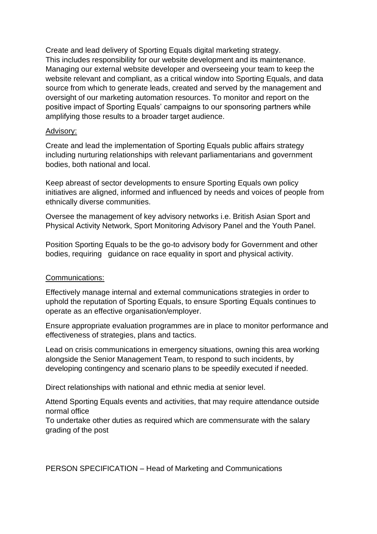Create and lead delivery of Sporting Equals digital marketing strategy. This includes responsibility for our website development and its maintenance. Managing our external website developer and overseeing your team to keep the website relevant and compliant, as a critical window into Sporting Equals, and data source from which to generate leads, created and served by the management and oversight of our marketing automation resources. To monitor and report on the positive impact of Sporting Equals' campaigns to our sponsoring partners while amplifying those results to a broader target audience.

#### Advisory:

Create and lead the implementation of Sporting Equals public affairs strategy including nurturing relationships with relevant parliamentarians and government bodies, both national and local.

Keep abreast of sector developments to ensure Sporting Equals own policy initiatives are aligned, informed and influenced by needs and voices of people from ethnically diverse communities.

Oversee the management of key advisory networks i.e. British Asian Sport and Physical Activity Network, Sport Monitoring Advisory Panel and the Youth Panel.

Position Sporting Equals to be the go-to advisory body for Government and other bodies, requiring guidance on race equality in sport and physical activity.

#### Communications:

Effectively manage internal and external communications strategies in order to uphold the reputation of Sporting Equals, to ensure Sporting Equals continues to operate as an effective organisation/employer.

Ensure appropriate evaluation programmes are in place to monitor performance and effectiveness of strategies, plans and tactics.

Lead on crisis communications in emergency situations, owning this area working alongside the Senior Management Team, to respond to such incidents, by developing contingency and scenario plans to be speedily executed if needed.

Direct relationships with national and ethnic media at senior level.

Attend Sporting Equals events and activities, that may require attendance outside normal office

To undertake other duties as required which are commensurate with the salary grading of the post

PERSON SPECIFICATION – Head of Marketing and Communications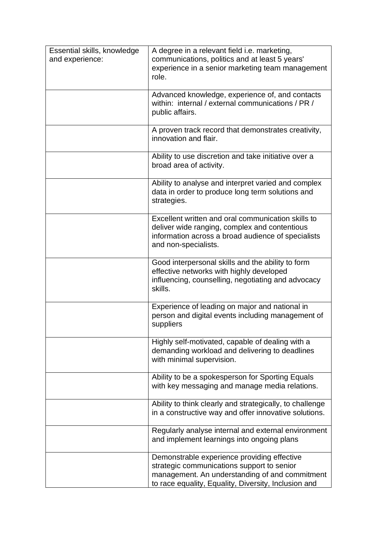| Essential skills, knowledge<br>and experience: | A degree in a relevant field i.e. marketing,<br>communications, politics and at least 5 years'<br>experience in a senior marketing team management<br>role.                                         |
|------------------------------------------------|-----------------------------------------------------------------------------------------------------------------------------------------------------------------------------------------------------|
|                                                | Advanced knowledge, experience of, and contacts<br>within: internal / external communications / PR /<br>public affairs.                                                                             |
|                                                | A proven track record that demonstrates creativity,<br>innovation and flair.                                                                                                                        |
|                                                | Ability to use discretion and take initiative over a<br>broad area of activity.                                                                                                                     |
|                                                | Ability to analyse and interpret varied and complex<br>data in order to produce long term solutions and<br>strategies.                                                                              |
|                                                | Excellent written and oral communication skills to<br>deliver wide ranging, complex and contentious<br>information across a broad audience of specialists<br>and non-specialists.                   |
|                                                | Good interpersonal skills and the ability to form<br>effective networks with highly developed<br>influencing, counselling, negotiating and advocacy<br>skills.                                      |
|                                                | Experience of leading on major and national in<br>person and digital events including management of<br>suppliers                                                                                    |
|                                                | Highly self-motivated, capable of dealing with a<br>demanding workload and delivering to deadlines<br>with minimal supervision.                                                                     |
|                                                | Ability to be a spokesperson for Sporting Equals<br>with key messaging and manage media relations.                                                                                                  |
|                                                | Ability to think clearly and strategically, to challenge<br>in a constructive way and offer innovative solutions.                                                                                   |
|                                                | Regularly analyse internal and external environment<br>and implement learnings into ongoing plans                                                                                                   |
|                                                | Demonstrable experience providing effective<br>strategic communications support to senior<br>management. An understanding of and commitment<br>to race equality, Equality, Diversity, Inclusion and |